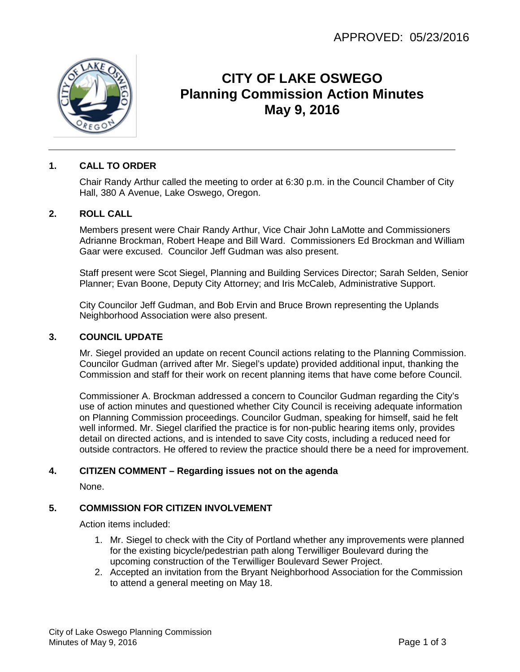

# **CITY OF LAKE OSWEGO Planning Commission Action Minutes May 9, 2016**

# **1. CALL TO ORDER**

Chair Randy Arthur called the meeting to order at 6:30 p.m. in the Council Chamber of City Hall, 380 A Avenue, Lake Oswego, Oregon.

#### **2. ROLL CALL**

Members present were Chair Randy Arthur, Vice Chair John LaMotte and Commissioners Adrianne Brockman, Robert Heape and Bill Ward. Commissioners Ed Brockman and William Gaar were excused. Councilor Jeff Gudman was also present.

Staff present were Scot Siegel, Planning and Building Services Director; Sarah Selden, Senior Planner; Evan Boone, Deputy City Attorney; and Iris McCaleb, Administrative Support.

City Councilor Jeff Gudman, and Bob Ervin and Bruce Brown representing the Uplands Neighborhood Association were also present.

#### **3. COUNCIL UPDATE**

Mr. Siegel provided an update on recent Council actions relating to the Planning Commission. Councilor Gudman (arrived after Mr. Siegel's update) provided additional input, thanking the Commission and staff for their work on recent planning items that have come before Council.

Commissioner A. Brockman addressed a concern to Councilor Gudman regarding the City's use of action minutes and questioned whether City Council is receiving adequate information on Planning Commission proceedings. Councilor Gudman, speaking for himself, said he felt well informed. Mr. Siegel clarified the practice is for non-public hearing items only, provides detail on directed actions, and is intended to save City costs, including a reduced need for outside contractors. He offered to review the practice should there be a need for improvement.

## **4. CITIZEN COMMENT – Regarding issues not on the agenda**

None.

## **5. COMMISSION FOR CITIZEN INVOLVEMENT**

Action items included:

- 1. Mr. Siegel to check with the City of Portland whether any improvements were planned for the existing bicycle/pedestrian path along Terwilliger Boulevard during the upcoming construction of the Terwilliger Boulevard Sewer Project.
- 2. Accepted an invitation from the Bryant Neighborhood Association for the Commission to attend a general meeting on May 18.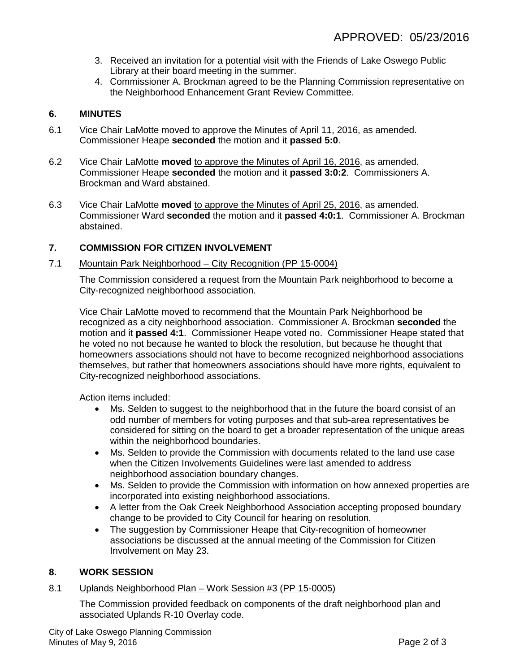- 3. Received an invitation for a potential visit with the Friends of Lake Oswego Public Library at their board meeting in the summer.
- 4. Commissioner A. Brockman agreed to be the Planning Commission representative on the Neighborhood Enhancement Grant Review Committee.

# **6. MINUTES**

- 6.1 Vice Chair LaMotte moved to approve the Minutes of April 11, 2016, as amended. Commissioner Heape **seconded** the motion and it **passed 5:0**.
- 6.2 Vice Chair LaMotte **moved** to approve the Minutes of April 16, 2016, as amended. Commissioner Heape **seconded** the motion and it **passed 3:0:2**. Commissioners A. Brockman and Ward abstained.
- 6.3 Vice Chair LaMotte **moved** to approve the Minutes of April 25, 2016, as amended. Commissioner Ward **seconded** the motion and it **passed 4:0:1**. Commissioner A. Brockman abstained.

# **7. COMMISSION FOR CITIZEN INVOLVEMENT**

#### 7.1 Mountain Park Neighborhood – City Recognition (PP 15-0004)

The Commission considered a request from the Mountain Park neighborhood to become a City-recognized neighborhood association.

Vice Chair LaMotte moved to recommend that the Mountain Park Neighborhood be recognized as a city neighborhood association. Commissioner A. Brockman **seconded** the motion and it **passed 4:1**. Commissioner Heape voted no. Commissioner Heape stated that he voted no not because he wanted to block the resolution, but because he thought that homeowners associations should not have to become recognized neighborhood associations themselves, but rather that homeowners associations should have more rights, equivalent to City-recognized neighborhood associations.

Action items included:

- Ms. Selden to suggest to the neighborhood that in the future the board consist of an odd number of members for voting purposes and that sub-area representatives be considered for sitting on the board to get a broader representation of the unique areas within the neighborhood boundaries.
- Ms. Selden to provide the Commission with documents related to the land use case when the Citizen Involvements Guidelines were last amended to address neighborhood association boundary changes.
- Ms. Selden to provide the Commission with information on how annexed properties are incorporated into existing neighborhood associations.
- A letter from the Oak Creek Neighborhood Association accepting proposed boundary change to be provided to City Council for hearing on resolution.
- The suggestion by Commissioner Heape that City-recognition of homeowner associations be discussed at the annual meeting of the Commission for Citizen Involvement on May 23.

## **8. WORK SESSION**

## 8.1 Uplands Neighborhood Plan – Work Session #3 (PP 15-0005)

The Commission provided feedback on components of the draft neighborhood plan and associated Uplands R-10 Overlay code.